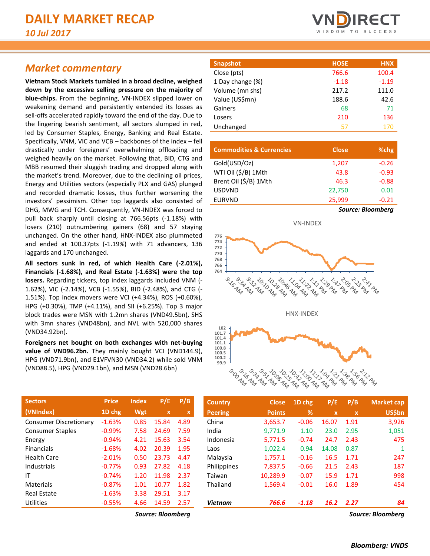## *Market commentary*

**Vietnam Stock Markets tumbled in a broad decline, weighed down by the excessive selling pressure on the majority of blue-chips.** From the beginning, VN-INDEX slipped lower on weakening demand and persistently extended its losses as sell-offs accelerated rapidly toward the end of the day. Due to the lingering bearish sentiment, all sectors slumped in red, led by Consumer Staples, Energy, Banking and Real Estate. Specifically, VNM, VIC and VCB – backbones of the index – fell drastically under foreigners' overwhelming offloading and weighed heavily on the market. Following that, BID, CTG and MBB resumed their sluggish trading and dropped along with the market's trend. Moreover, due to the declining oil prices, Energy and Utilities sectors (especially PLX and GAS) plunged and recorded dramatic losses, thus further worsening the investors' pessimism. Other top laggards also consisted of DHG, MWG and TCH. Consequently, VN-INDEX was forced to pull back sharply until closing at 766.56pts (-1.18%) with losers (210) outnumbering gainers (68) and 57 staying unchanged. On the other hand, HNX-INDEX also plummeted and ended at 100.37pts (-1.19%) with 71 advancers, 136 laggards and 170 unchanged.

**All sectors sunk in red, of which Health Care (-2.01%), Financials (-1.68%), and Real Estate (-1.63%) were the top losers.** Regarding tickers, top index laggards included VNM (- 1.62%), VIC (-2.14%), VCB (-1.55%), BID (-2.48%), and CTG (- 1.51%). Top index movers were VCI (+4.34%), ROS (+0.60%), HPG (+0.30%), TMP (+4.11%), and SII (+6.25%). Top 3 major block trades were MSN with 1.2mn shares (VND49.5bn), SHS with 3mn shares (VND48bn), and NVL with 520,000 shares (VND34.92bn).

**Foreigners net bought on both exchanges with net-buying**  value of VND96.2bn. They mainly bought VCI (VND144.9), HPG (VND71.9bn), and E1VFVN30 (VND34.2) while sold VNM (VND88.5), HPG (VND29.1bn), and MSN (VND28.6bn)

| <b>Sectors</b>                | <b>Price</b> | <b>Index</b> | P/E         | P/B  |
|-------------------------------|--------------|--------------|-------------|------|
| (VNIndex)                     | 1D chg       | Wgt          | $\mathbf x$ | x    |
| <b>Consumer Discretionary</b> | $-1.63%$     | 0.85         | 15.84       | 4.89 |
| <b>Consumer Staples</b>       | $-0.99%$     | 7.58         | 24.69       | 7.59 |
| Energy                        | $-0.94%$     | 4.21         | 15.63       | 3.54 |
| <b>Financials</b>             | $-1.68%$     | 4.02         | 20.39       | 1.95 |
| Health Care                   | $-2.01%$     | 0.50         | 23.73       | 4.47 |
| Industrials                   | $-0.77%$     | 0.93         | 27.82       | 4.18 |
| ΙT                            | $-0.74%$     | 1.20         | 11.98       | 2.37 |
| Materials                     | $-0.87%$     | 1.01         | 10.77       | 1.82 |
| <b>Real Estate</b>            | $-1.63%$     | 3.38         | 29.51       | 3.17 |
| Utilities                     | $-0.55%$     | 4.66         | 14.59       | 2.57 |
|                               |              |              |             |      |



| Snapshot         | <b>HOSE</b> | <b>HNX</b> |
|------------------|-------------|------------|
| Close (pts)      | 766.6       | 100.4      |
| 1 Day change (%) | $-1.18$     | $-1.19$    |
| Volume (mn shs)  | 217.2       | 111.0      |
| Value (US\$mn)   | 188.6       | 42.6       |
| Gainers          | 68          | 71         |
| Losers           | 210         | 136        |
| Unchanged        | 57          | 170        |

| <b>Commodities &amp; Currencies</b> | <b>Close</b> | %chg              |  |  |  |  |
|-------------------------------------|--------------|-------------------|--|--|--|--|
| Gold(USD/Oz)                        | 1,207        | $-0.26$           |  |  |  |  |
| WTI Oil (\$/B) 1Mth                 | 43.8         | $-0.93$           |  |  |  |  |
| Brent Oil (\$/B) 1Mth               | 46.3         | $-0.88$           |  |  |  |  |
| <b>USDVND</b>                       | 22,750       | 0.01              |  |  |  |  |
| <b>EURVND</b>                       | 25,999       | $-0.21$           |  |  |  |  |
|                                     |              | Source: Bloomberg |  |  |  |  |



| <b>Sectors</b>                | <b>Price</b> | <b>Index</b> | P/E      | P/B         | <b>Country</b> | <b>Close</b>  | $1$ D chg | P/E          | P/B          | Market cap    |
|-------------------------------|--------------|--------------|----------|-------------|----------------|---------------|-----------|--------------|--------------|---------------|
| (VNIndex)                     | 1D chg       | Wgt          | <b>X</b> | $\mathbf x$ | <b>Peering</b> | <b>Points</b> | %         | $\mathbf{x}$ | $\mathbf{x}$ | <b>US\$bn</b> |
| <b>Consumer Discretionary</b> | $-1.63%$     | 0.85         | 15.84    | 4.89        | China          | 3,653.7       | $-0.06$   | 16.07        | 1.91         | 3,926         |
| <b>Consumer Staples</b>       | $-0.99%$     | 7.58         | 24.69    | 7.59        | India          | 9,771.9       | 1.10      | 23.0         | 2.95         | 1,051         |
| Energy                        | $-0.94%$     | 4.21         | 15.63    | 3.54        | Indonesia      | 5,771.5       | $-0.74$   | 24.7         | 2.43         | 475           |
| <b>Financials</b>             | $-1.68%$     | 4.02         | 20.39    | 1.95        | Laos           | 1,022.4       | 0.94      | 14.08        | 0.87         | 1             |
| Health Care                   | $-2.01%$     | 0.50         | 23.73    | 4.47        | Malaysia       | 1,757.1       | $-0.16$   | 16.5         | 1.71         | 247           |
| Industrials                   | $-0.77%$     | 0.93         | 27.82    | 4.18        | Philippines    | 7.837.5       | $-0.66$   | 21.5         | 2.43         | 187           |
| ΙT                            | $-0.74%$     | 1.20         | 11.98    | 2.37        | Taiwan         | 10.289.9      | $-0.07$   | 15.9         | 1.71         | 998           |
| Materials                     | $-0.87%$     | 1.01         | 10.77    | 1.82        | Thailand       | 1,569.4       | $-0.01$   | 16.0         | 1.89         | 454           |
| <b>Real Estate</b>            | $-1.63%$     | 3.38         | 29.51    | 3.17        |                |               |           |              |              |               |
| Utilities                     | $-0.55%$     | 4.66         | 14.59    | 2.57        | <b>Vietnam</b> | 766.6         | $-1.18$   | <b>16.2</b>  | 2.27         | 84            |
|                               |              |              | $ -$     |             |                |               |           |              |              |               |

*Source: Bloomberg Source: Bloomberg*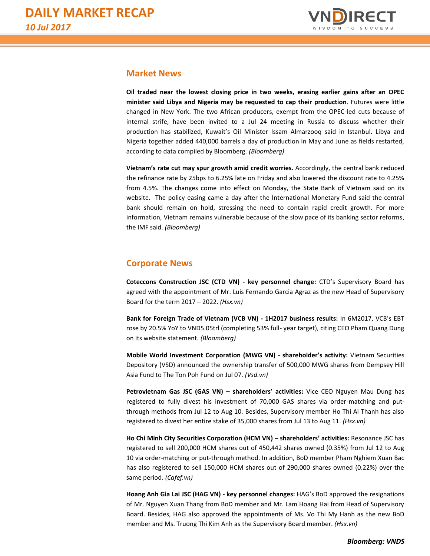

### **Market News**

**Oil traded near the lowest closing price in two weeks, erasing earlier gains after an OPEC minister said Libya and Nigeria may be requested to cap their production**. Futures were little changed in New York. The two African producers, exempt from the OPEC-led cuts because of internal strife, have been invited to a Jul 24 meeting in Russia to discuss whether their production has stabilized, Kuwait's Oil Minister Issam Almarzooq said in Istanbul. Libya and Nigeria together added 440,000 barrels a day of production in May and June as fields restarted, according to data compiled by Bloomberg. *(Bloomberg)*

**Vietnam's rate cut may spur growth amid credit worries.** Accordingly, the central bank reduced the refinance rate by 25bps to 6.25% late on Friday and also lowered the discount rate to 4.25% from 4.5%. The changes come into effect on Monday, the State Bank of Vietnam said on its website. The policy easing came a day after the International Monetary Fund said the central bank should remain on hold, stressing the need to contain rapid credit growth. For more information, Vietnam remains vulnerable because of the slow pace of its banking sector reforms, the IMF said. *(Bloomberg)*

### **Corporate News**

**Coteccons Construction JSC (CTD VN) - key personnel change:** CTD's Supervisory Board has agreed with the appointment of Mr. Luis Fernando Garcia Agraz as the new Head of Supervisory Board for the term 2017 – 2022. *(Hsx.vn)*

**Bank for Foreign Trade of Vietnam (VCB VN) - 1H2017 business results:** In 6M2017, VCB's EBT rose by 20.5% YoY to VND5.05trl (completing 53% full- year target), citing CEO Pham Quang Dung on its website statement. *(Bloomberg)*

**Mobile World Investment Corporation (MWG VN) - shareholder's activity:** Vietnam Securities Depository (VSD) announced the ownership transfer of 500,000 MWG shares from Dempsey Hill Asia Fund to The Ton Poh Fund on Jul 07. *(Vsd.vn)*

**Petrovietnam Gas JSC (GAS VN) – shareholders' activities:** Vice CEO Nguyen Mau Dung has registered to fully divest his investment of 70,000 GAS shares via order-matching and putthrough methods from Jul 12 to Aug 10. Besides, Supervisory member Ho Thi Ai Thanh has also registered to divest her entire stake of 35,000 shares from Jul 13 to Aug 11. *(Hsx.vn)* 

**Ho Chi Minh City Securities Corporation (HCM VN) – shareholders' activities:** Resonance JSC has registered to sell 200,000 HCM shares out of 450,442 shares owned (0.35%) from Jul 12 to Aug 10 via order-matching or put-through method. In addition, BoD member Pham Nghiem Xuan Bac has also registered to sell 150,000 HCM shares out of 290,000 shares owned (0.22%) over the same period. *(Cafef.vn)*

**Hoang Anh Gia Lai JSC (HAG VN) - key personnel changes:** HAG's BoD approved the resignations of Mr. Nguyen Xuan Thang from BoD member and Mr. Lam Hoang Hai from Head of Supervisory Board. Besides, HAG also approved the appointments of Ms. Vo Thi My Hanh as the new BoD member and Ms. Truong Thi Kim Anh as the Supervisory Board member. *(Hsx.vn)*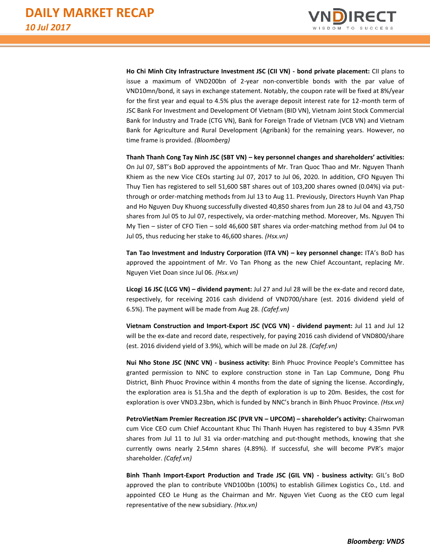

**Ho Chi Minh City Infrastructure Investment JSC (CII VN) - bond private placement:** CII plans to issue a maximum of VND200bn of 2-year non-convertible bonds with the par value of VND10mn/bond, it says in exchange statement. Notably, the coupon rate will be fixed at 8%/year for the first year and equal to 4.5% plus the average deposit interest rate for 12-month term of JSC Bank For Investment and Development Of Vietnam (BID VN), Vietnam Joint Stock Commercial Bank for Industry and Trade (CTG VN), Bank for Foreign Trade of Vietnam (VCB VN) and Vietnam Bank for Agriculture and Rural Development (Agribank) for the remaining years. However, no time frame is provided. *(Bloomberg)*

**Thanh Thanh Cong Tay Ninh JSC (SBT VN) – key personnel changes and shareholders' activities:** On Jul 07, SBT's BoD approved the appointments of Mr. Tran Quoc Thao and Mr. Nguyen Thanh Khiem as the new Vice CEOs starting Jul 07, 2017 to Jul 06, 2020. In addition, CFO Nguyen Thi Thuy Tien has registered to sell 51,600 SBT shares out of 103,200 shares owned (0.04%) via putthrough or order-matching methods from Jul 13 to Aug 11. Previously, Directors Huynh Van Phap and Ho Nguyen Duy Khuong successfully divested 40,850 shares from Jun 28 to Jul 04 and 43,750 shares from Jul 05 to Jul 07, respectively, via order-matching method. Moreover, Ms. Nguyen Thi My Tien – sister of CFO Tien – sold 46,600 SBT shares via order-matching method from Jul 04 to Jul 05, thus reducing her stake to 46,600 shares. *(Hsx.vn)*

**Tan Tao Investment and Industry Corporation (ITA VN) – key personnel change:** ITA's BoD has approved the appointment of Mr. Vo Tan Phong as the new Chief Accountant, replacing Mr. Nguyen Viet Doan since Jul 06. *(Hsx.vn)*

**Licogi 16 JSC (LCG VN) – dividend payment:** Jul 27 and Jul 28 will be the ex-date and record date, respectively, for receiving 2016 cash dividend of VND700/share (est. 2016 dividend yield of 6.5%). The payment will be made from Aug 28. *(Cafef.vn)*

**Vietnam Construction and Import-Export JSC (VCG VN) - dividend payment:** Jul 11 and Jul 12 will be the ex-date and record date, respectively, for paying 2016 cash dividend of VND800/share (est. 2016 dividend yield of 3.9%), which will be made on Jul 28. *(Cafef.vn)*

**Nui Nho Stone JSC (NNC VN) - business activity:** Binh Phuoc Province People's Committee has granted permission to NNC to explore construction stone in Tan Lap Commune, Dong Phu District, Binh Phuoc Province within 4 months from the date of signing the license. Accordingly, the exploration area is 51.5ha and the depth of exploration is up to 20m. Besides, the cost for exploration is over VND3.23bn, which is funded by NNC's branch in Binh Phuoc Province. *(Hsx.vn)*

**PetroVietNam Premier Recreation JSC (PVR VN – UPCOM) – shareholder's activity:** Chairwoman cum Vice CEO cum Chief Accountant Khuc Thi Thanh Huyen has registered to buy 4.35mn PVR shares from Jul 11 to Jul 31 via order-matching and put-thought methods, knowing that she currently owns nearly 2.54mn shares (4.89%). If successful, she will become PVR's major shareholder. *(Cafef.vn)*

**Binh Thanh Import-Export Production and Trade JSC (GIL VN) - business activity:** GIL's BoD approved the plan to contribute VND100bn (100%) to establish Gilimex Logistics Co., Ltd. and appointed CEO Le Hung as the Chairman and Mr. Nguyen Viet Cuong as the CEO cum legal representative of the new subsidiary. *(Hsx.vn)*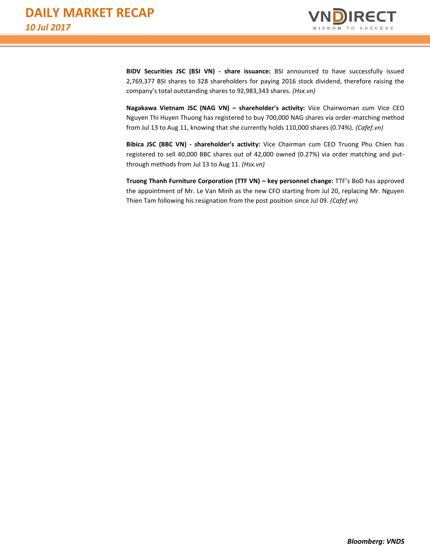

**BIDV Securities JSC (BSI VN) - share issuance:** BSI announced to have successfully issued 2,769,377 BSI shares to 328 shareholders for paying 2016 stock dividend, therefore raising the company's total outstanding shares to 92,983,343 shares. *(Hsx.vn)*

**Nagakawa Vietnam JSC (NAG VN) – shareholder's activity:** Vice Chairwoman cum Vice CEO Nguyen Thi Huyen Thuong has registered to buy 700,000 NAG shares via order-matching method from Jul 13 to Aug 11, knowing that she currently holds 110,000 shares (0.74%). *(Cafef.vn)*

**Bibica JSC (BBC VN) - shareholder's activity:** Vice Chairman cum CEO Truong Phu Chien has registered to sell 40,000 BBC shares out of 42,000 owned (0.27%) via order matching and putthrough methods from Jul 13 to Aug 11. *(Hsx.vn)*

**Truong Thanh Furniture Corporation (TTF VN) – key personnel change:** TTF's BoD has approved the appointment of Mr. Le Van Minh as the new CFO starting from Jul 20, replacing Mr. Nguyen Thien Tam following his resignation from the post position since Jul 09*. (Cafef.vn)*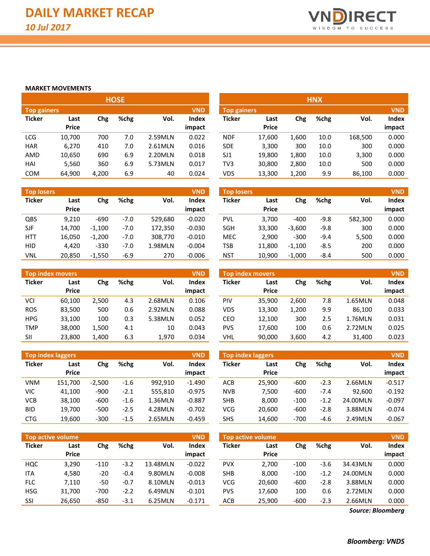

#### **MARKET MOVEMENTS**

| <b>HOSE</b>                      |        |       |      |         |        |  |  |  |  |  |  |  |
|----------------------------------|--------|-------|------|---------|--------|--|--|--|--|--|--|--|
| <b>VND</b><br><b>Top gainers</b> |        |       |      |         |        |  |  |  |  |  |  |  |
| <b>Ticker</b>                    | Last   | Chg   | %chg | Vol.    | Index  |  |  |  |  |  |  |  |
|                                  | Price  |       |      |         | impact |  |  |  |  |  |  |  |
| LCG                              | 10,700 | 700   | 7.0  | 2.59MLN | 0.022  |  |  |  |  |  |  |  |
| HAR                              | 6.270  | 410   | 7.0  | 2.61MLN | 0.016  |  |  |  |  |  |  |  |
| AMD                              | 10,650 | 690   | 6.9  | 2.20MLN | 0.018  |  |  |  |  |  |  |  |
| HAI                              | 5,560  | 360   | 6.9  | 5.73MLN | 0.017  |  |  |  |  |  |  |  |
| COM                              | 64,900 | 4,200 | 6.9  | 40      | 0.024  |  |  |  |  |  |  |  |

| <b>Top losers</b> |              |          |        |         | <b>VND</b> |
|-------------------|--------------|----------|--------|---------|------------|
| <b>Ticker</b>     | Last         | Chg      | %chg   | Vol.    | Index      |
|                   | <b>Price</b> |          |        |         | impact     |
| QBS               | 9.210        | -690     | $-7.0$ | 529.680 | $-0.020$   |
| <b>SJF</b>        | 14,700       | $-1,100$ | $-7.0$ | 172,350 | $-0.030$   |
| HTT               | 16,050       | $-1,200$ | $-7.0$ | 308,770 | $-0.010$   |
| HID               | 4.420        | $-330$   | $-7.0$ | 1.98MLN | $-0.004$   |
| VNL               | 20,850       | $-1,550$ | $-6.9$ | 270     | $-0.006$   |

|               |              |       |      | <b>Top index movers</b><br><b>VND</b> |        |  |  |  |  |  |  |  |  |  |  |  |  |
|---------------|--------------|-------|------|---------------------------------------|--------|--|--|--|--|--|--|--|--|--|--|--|--|
| <b>Ticker</b> | Last         | Chg   | %chg | Vol.                                  | Index  |  |  |  |  |  |  |  |  |  |  |  |  |
|               | <b>Price</b> |       |      |                                       | impact |  |  |  |  |  |  |  |  |  |  |  |  |
| VCI           | 60,100       | 2,500 | 4.3  | 2.68MLN                               | 0.106  |  |  |  |  |  |  |  |  |  |  |  |  |
| <b>ROS</b>    | 83,500       | 500   | 0.6  | 2.92MLN                               | 0.088  |  |  |  |  |  |  |  |  |  |  |  |  |
| <b>HPG</b>    | 33,100       | 100   | 0.3  | 5.38MLN                               | 0.052  |  |  |  |  |  |  |  |  |  |  |  |  |
| <b>TMP</b>    | 38,000       | 1,500 | 4.1  | 10                                    | 0.043  |  |  |  |  |  |  |  |  |  |  |  |  |
| SII           | 23,800       | 1,400 | 6.3  | 1.970                                 | 0.034  |  |  |  |  |  |  |  |  |  |  |  |  |

|               | <b>Top index laggers</b> |          |        |         | <b>VND</b> |
|---------------|--------------------------|----------|--------|---------|------------|
| <b>Ticker</b> | Last                     | Chg      | %chg   | Vol.    | Index      |
|               | <b>Price</b>             |          |        |         | impact     |
| VNM           | 151,700                  | $-2,500$ | $-1.6$ | 992.910 | $-1.490$   |
| VIC           | 41,100                   | $-900$   | $-2.1$ | 555,810 | $-0.975$   |
| <b>VCB</b>    | 38,100                   | -600     | $-1.6$ | 1.36MLN | $-0.887$   |
| BID           | 19.700                   | $-500$   | $-2.5$ | 4.28MLN | $-0.702$   |
| CTG           | 19,600                   | $-300$   | $-1.5$ | 2.65MLN | $-0.459$   |

|               | <b>Top active volume</b> |        |        |          | <b>VND</b> |
|---------------|--------------------------|--------|--------|----------|------------|
| <b>Ticker</b> | Last                     | Chg    | %chg   | Vol.     | Index      |
|               | <b>Price</b>             |        |        |          | impact     |
| HQC           | 3,290                    | $-110$ | $-3.2$ | 13.48MLN | $-0.022$   |
| ITA           | 4.580                    | $-20$  | $-0.4$ | 9.80MLN  | $-0.008$   |
| <b>FLC</b>    | 7,110                    | -50    | $-0.7$ | 8.10MLN  | $-0.013$   |
| <b>HSG</b>    | 31,700                   | $-700$ | $-2.2$ | 6.49MLN  | $-0.101$   |
| SSI           | 26,650                   | $-850$ | $-3.1$ | 6.25MLN  | $-0.171$   |

| <b>Top gainers</b> |       |      | <b>VND</b><br><b>Top gainers</b> |        |            |              |       |      |            | <b>VND</b> |
|--------------------|-------|------|----------------------------------|--------|------------|--------------|-------|------|------------|------------|
| Last               | Chg   | %chg | Vol.                             | Index  | Ticker     | Last         | Chg   | %chg | Vol.       | Index      |
| <b>Price</b>       |       |      |                                  | impact |            | <b>Price</b> |       |      |            | impact     |
| 10,700             | 700   | 7.0  | 2.59MLN                          | 0.022  | <b>NDF</b> | 17,600       | 1,600 | 10.0 | 168,500    | 0.000      |
| 6,270              | 410   | 7.0  | 2.61MLN                          | 0.016  | <b>SDE</b> | 3,300        | 300   | 10.0 | 300        | 0.000      |
| 10,650             | 690   | 6.9  | 2.20MLN                          | 0.018  | SJ1        | 19,800       | 1,800 | 10.0 | 3,300      | 0.000      |
| 5,560              | 360   | 6.9  | 5.73MLN                          | 0.017  | TV3        | 30,800       | 2,800 | 10.0 | 500        | 0.000      |
| 64,900             | 4,200 | 6.9  | 40                               | 0.024  | <b>VDS</b> | 13,300       | 1,200 | 9.9  | 86,100     | 0.000      |
|                    |       |      | <b>HOSE</b>                      |        |            |              |       |      | <b>HNX</b> |            |

| <b>VND</b><br><b>Top losers</b> |                      |          |        |         |                 | <b>Top losers</b> |                      |          |        |         | <b>VND</b>      |
|---------------------------------|----------------------|----------|--------|---------|-----------------|-------------------|----------------------|----------|--------|---------|-----------------|
| Ticker                          | Last<br><b>Price</b> | Chg      | %chg   | Vol.    | Index<br>impact | Ticker            | Last<br><b>Price</b> | Chg      | %chg   | Vol.    | Index<br>impact |
|                                 |                      |          |        |         |                 |                   |                      |          |        |         |                 |
| QBS                             | 9,210                | $-690$   | $-7.0$ | 529.680 | $-0.020$        | <b>PVL</b>        | 3.700                | $-400$   | $-9.8$ | 582,300 | 0.000           |
| SJF                             | 14,700               | $-1.100$ | $-7.0$ | 172.350 | $-0.030$        | <b>SGH</b>        | 33,300               | $-3,600$ | $-9.8$ | 300     | 0.000           |
| HTT                             | 16,050               | $-1.200$ | $-7.0$ | 308,770 | $-0.010$        | <b>MEC</b>        | 2.900                | $-300$   | $-9.4$ | 5,500   | 0.000           |
| <b>HID</b>                      | 4.420                | $-330$   | $-7.0$ | 1.98MLN | $-0.004$        | <b>TSB</b>        | 11.800               | $-1,100$ | $-8.5$ | 200     | 0.000           |
| VNL                             | 20,850               | $-1.550$ | $-6.9$ | 270     | $-0.006$        | <b>NST</b>        | 10.900               | $-1.000$ | $-8.4$ | 500     | 0.000           |

| Top index movers' |              |       |      |         | <b>VND</b> |            | Top index movers |       |      |         | <b>VND</b> |
|-------------------|--------------|-------|------|---------|------------|------------|------------------|-------|------|---------|------------|
| Ticker            | Last         | Chg   | %chg | Vol.    | Index      | Ticker     | Last             | Chg   | %chg | Vol.    | Index      |
|                   | <b>Price</b> |       |      |         | impact     |            | <b>Price</b>     |       |      |         | impact     |
| VCI               | 60.100       | 2.500 | 4.3  | 2.68MLN | 0.106      | PIV        | 35.900           | 2,600 | 7.8  | 1.65MLN | 0.048      |
| <b>ROS</b>        | 83,500       | 500   | 0.6  | 2.92MLN | 0.088      | VDS        | 13,300           | 1.200 | 9.9  | 86.100  | 0.033      |
| <b>HPG</b>        | 33,100       | 100   | 0.3  | 5.38MLN | 0.052      | CEO        | 12,100           | 300   | 2.5  | 1.76MLN | 0.031      |
| TMP               | 38,000       | 1,500 | 4.1  | 10      | 0.043      | <b>PVS</b> | 17.600           | 100   | 0.6  | 2.72MLN | 0.025      |
| SII               | 23,800       | 1,400 | 6.3  | 1,970   | 0.034      | VHL        | 90,000           | 3,600 | 4.2  | 31,400  | 0.023      |

|            | <b>Top index laggers</b> |          |        |         | <b>VND</b> | Top index laggers |              | <b>VND</b> |        |          |          |
|------------|--------------------------|----------|--------|---------|------------|-------------------|--------------|------------|--------|----------|----------|
| Ticker     | Last                     | Chg      | %chg   | Vol.    | Index      | Ticker            | Last         | Chg        | %chg   | Vol.     | Index    |
|            | <b>Price</b>             |          |        |         | impact     |                   | <b>Price</b> |            |        |          | impact   |
| VNM        | 151,700                  | $-2.500$ | $-1.6$ | 992.910 | $-1.490$   | <b>ACB</b>        | 25,900       | $-600$     | $-2.3$ | 2.66MLN  | $-0.517$ |
| VIC        | 41,100                   | $-900$   | $-2.1$ | 555.810 | $-0.975$   | <b>NVB</b>        | 7.500        | $-600$     | $-7.4$ | 92.600   | $-0.192$ |
| VCB        | 38,100                   | $-600$   | $-1.6$ | 1.36MLN | $-0.887$   | SHB               | 8.000        | $-100$     | $-1.2$ | 24.00MLN | $-0.097$ |
| <b>BID</b> | 19,700                   | $-500$   | $-2.5$ | 4.28MLN | $-0.702$   | VCG               | 20,600       | $-600$     | $-2.8$ | 3.88MLN  | $-0.074$ |
| <b>CTG</b> | 19,600                   | $-300$   | $-1.5$ | 2.65MLN | $-0.459$   | <b>SHS</b>        | 14.600       | $-700$     | -4.6   | 2.49MLN  | $-0.067$ |

|            | <b>Top active volume</b> |        |        |          | <b>VND</b>      | <b>VND</b><br><b>Top active volume</b> |                      |        |        |          |                 |  |
|------------|--------------------------|--------|--------|----------|-----------------|----------------------------------------|----------------------|--------|--------|----------|-----------------|--|
| Ticker     | Last<br><b>Price</b>     | Chg    | %chg   | Vol.     | Index<br>impact | <b>Ticker</b>                          | Last<br><b>Price</b> | Chg    | %chg   | Vol.     | Index<br>impact |  |
| HQC        | 3,290                    | $-110$ | $-3.2$ | 13.48MLN | $-0.022$        | <b>PVX</b>                             | 2,700                | $-100$ | $-3.6$ | 34.43MLN | 0.000           |  |
| <b>ITA</b> | 4,580                    | $-20$  | $-0.4$ | 9.80MLN  | $-0.008$        | <b>SHB</b>                             | 8.000                | $-100$ | $-1.2$ | 24.00MLN | 0.000           |  |
| <b>FLC</b> | 7,110                    | -50    | $-0.7$ | 8.10MLN  | $-0.013$        | <b>VCG</b>                             | 20.600               | $-600$ | $-2.8$ | 3.88MLN  | 0.000           |  |
| HSG        | 31,700                   | $-700$ | $-2.2$ | 6.49MLN  | $-0.101$        | <b>PVS</b>                             | 17,600               | 100    | 0.6    | 2.72MLN  | 0.000           |  |
| SSI        | 26,650                   | $-850$ | $-3.1$ | 6.25MLN  | $-0.171$        | <b>ACB</b>                             | 25,900               | $-600$ | $-2.3$ | 2.66MLN  | 0.000           |  |

*Source: Bloomberg*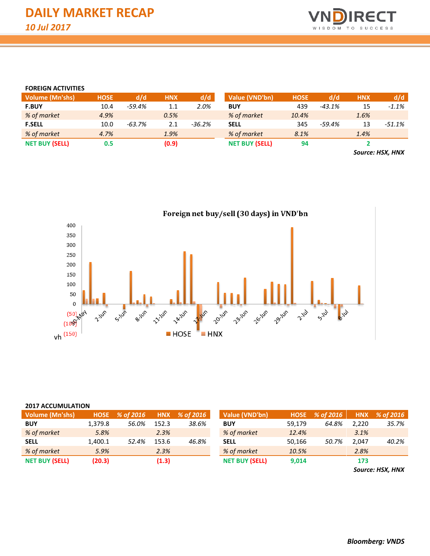

#### **FOREIGN ACTIVITIES**

| <b>Volume (Mn'shs)</b> | <b>HOSE</b> | d/d      | <b>HNX</b> | d/d      | Value (VND'bn)        | <b>HOSE</b> | d/d      | <b>HNX</b>               | d/d      |
|------------------------|-------------|----------|------------|----------|-----------------------|-------------|----------|--------------------------|----------|
| <b>F.BUY</b>           | 10.4        | $-59.4%$ | 1.1        | 2.0%     | <b>BUY</b>            | 439         | $-43.1%$ | 15                       | $-1.1%$  |
| % of market            | 4.9%        |          | 0.5%       |          | % of market           | 10.4%       |          | 1.6%                     |          |
| <b>F.SELL</b>          | 10.0        | $-63.7%$ | 2.1        | $-36.2%$ | <b>SELL</b>           | 345         | $-59.4%$ | 13                       | $-51.1%$ |
| % of market            | 4.7%        |          | 1.9%       |          | % of market           | 8.1%        |          | 1.4%                     |          |
| <b>NET BUY (SELL)</b>  | 0.5         |          | (0.9)      |          | <b>NET BUY (SELL)</b> | 94          |          |                          |          |
|                        |             |          |            |          |                       |             |          | $\overline{\phantom{0}}$ | .        |

*Source: HSX, HNX*



#### **2017 ACCUMULATION**

| <b>Volume (Mn'shs)</b> |         | HOSE % of 2016 |       | HNX % of 2016 | Value (VND'bn)        |        | HOSE % of 2016 |       | HNX % of 2016 |
|------------------------|---------|----------------|-------|---------------|-----------------------|--------|----------------|-------|---------------|
| <b>BUY</b>             | 1.379.8 | 56.0%          | 152.3 | 38.6%         | <b>BUY</b>            | 59.179 | 64.8%          | 2.220 | 35.7%         |
| % of market            | 5.8%    |                | 2.3%  |               | % of market           | 12.4%  |                | 3.1%  |               |
| <b>SELL</b>            | 1.400.1 | 52.4%          | 153.6 | 46.8%         | <b>SELL</b>           | 50.166 | 50.7%          | 2.047 | 40.2%         |
| % of market            | 5.9%    |                | 2.3%  |               | % of market           | 10.5%  |                | 2.8%  |               |
| <b>NET BUY (SELL)</b>  | (20.3)  |                | (1.3) |               | <b>NET BUY (SELL)</b> | 9,014  |                | 173   |               |

*Source: HSX, HNX*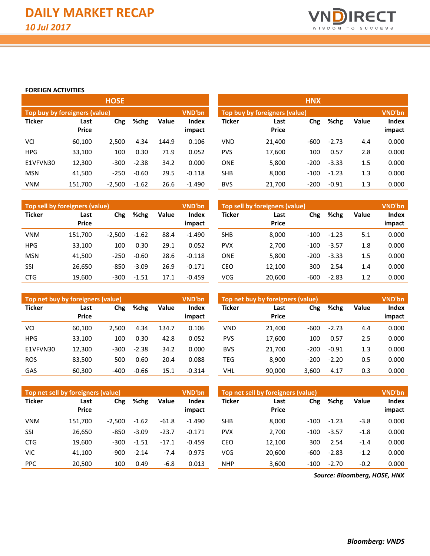

#### **FOREIGN ACTIVITIES**

|               |                               | <b>HOSE</b> |         |              |                 | <b>HNX</b>    |                               |        |         |              |                 |
|---------------|-------------------------------|-------------|---------|--------------|-----------------|---------------|-------------------------------|--------|---------|--------------|-----------------|
|               | Top buy by foreigners (value) |             |         |              | VND'bn          |               | Top buy by foreigners (value) |        |         |              | <b>VND'bn</b>   |
| <b>Ticker</b> | Last<br><b>Price</b>          | Chg         | %chg    | <b>Value</b> | Index<br>impact | <b>Ticker</b> | Last<br><b>Price</b>          | Chg    | %chg    | <b>Value</b> | Index<br>impact |
| VCI           | 60,100                        | 2,500       | 4.34    | 144.9        | 0.106           | <b>VND</b>    | 21,400                        | $-600$ | $-2.73$ | 4.4          | 0.000           |
| <b>HPG</b>    | 33,100                        | 100         | 0.30    | 71.9         | 0.052           | <b>PVS</b>    | 17,600                        | 100    | 0.57    | 2.8          | 0.000           |
| E1VFVN30      | 12,300                        | $-300$      | $-2.38$ | 34.2         | 0.000           | <b>ONE</b>    | 5,800                         | $-200$ | $-3.33$ | 1.5          | 0.000           |
| <b>MSN</b>    | 41,500                        | $-250$      | $-0.60$ | 29.5         | $-0.118$        | <b>SHB</b>    | 8,000                         | $-100$ | $-1.23$ | 1.3          | 0.000           |
| <b>VNM</b>    | 151,700                       | $-2,500$    | $-1.62$ | 26.6         | $-1.490$        | <b>BVS</b>    | 21,700                        | $-200$ | $-0.91$ | 1.3          | 0.000           |

|               | Top sell by foreigners (value) |          |         |       | <b>VND'bn</b><br>Top sell by foreigners (value) |               |                      |        |         |       |                 |
|---------------|--------------------------------|----------|---------|-------|-------------------------------------------------|---------------|----------------------|--------|---------|-------|-----------------|
| <b>Ticker</b> | Last<br><b>Price</b>           | Chg      | %chg    | Value | <b>Index</b><br>impact                          | <b>Ticker</b> | Last<br><b>Price</b> | Chg    | %chg    | Value | Index<br>impact |
| <b>VNM</b>    | 151.700                        | $-2.500$ | $-1.62$ | 88.4  | $-1.490$                                        | <b>SHB</b>    | 8,000                | $-100$ | $-1.23$ | 5.1   | 0.000           |
| <b>HPG</b>    | 33.100                         | 100      | 0.30    | 29.1  | 0.052                                           | <b>PVX</b>    | 2,700                | $-100$ | $-3.57$ | 1.8   | 0.000           |
| <b>MSN</b>    | 41.500                         | $-250$   | $-0.60$ | 28.6  | $-0.118$                                        | <b>ONE</b>    | 5,800                | $-200$ | $-3.33$ | 1.5   | 0.000           |
| SSI           | 26.650                         | $-850$   | $-3.09$ | 26.9  | $-0.171$                                        | CEO           | 12,100               | 300    | 2.54    | 1.4   | 0.000           |
| <b>CTG</b>    | 19,600                         | $-300$   | $-1.51$ | 17.1  | $-0.459$                                        | <b>VCG</b>    | 20,600               | $-600$ | $-2.83$ | 1.2   | 0.000           |

| E1VFVN30   | 12,300                                | $-300$   | $-2.38$ | 34.2  | 0.000         | <b>ONE</b> | 5,800                          | $-200$ | $-3.33$ | 1.5   | 0.000         |
|------------|---------------------------------------|----------|---------|-------|---------------|------------|--------------------------------|--------|---------|-------|---------------|
| <b>MSN</b> | 41,500                                | $-250$   | $-0.60$ | 29.5  | $-0.118$      | <b>SHB</b> | 8,000                          | $-100$ | $-1.23$ | 1.3   | 0.000         |
| VNM        | 151,700                               | $-2,500$ | $-1.62$ | 26.6  | $-1.490$      | <b>BVS</b> | 21,700                         | $-200$ | $-0.91$ | 1.3   | 0.000         |
|            |                                       |          |         |       |               |            |                                |        |         |       |               |
|            | <b>Top sell by foreigners (value)</b> |          |         |       | <b>VND'bn</b> |            | Top sell by foreigners (value) |        |         |       | <b>VND'bn</b> |
| Ticker     | Last                                  | Chg      | %chg    | Value | Index         | Ticker     | Last                           | Chg    | %chg    | Value | Index         |
|            | <b>Price</b>                          |          |         |       | impact        |            | <b>Price</b>                   |        |         |       | impact        |
|            |                                       |          |         |       |               |            |                                |        |         |       |               |
| VNM        | 151.700                               | $-2,500$ | $-1.62$ | 88.4  | $-1.490$      | SHB        | 8,000                          | $-100$ | $-1.23$ | 5.1   | 0.000         |
| <b>HPG</b> | 33,100                                | 100      | 0.30    | 29.1  | 0.052         | <b>PVX</b> | 2,700                          | $-100$ | $-3.57$ | 1.8   | 0.000         |

| Top net buy by foreigners (value) |                      |        |         |              | <b>VND'bn</b>          | Top net buy by foreigners (value) |                      |        |         |              |                        |
|-----------------------------------|----------------------|--------|---------|--------------|------------------------|-----------------------------------|----------------------|--------|---------|--------------|------------------------|
| <b>Ticker</b>                     | Last<br><b>Price</b> | Chg    | %chg    | <b>Value</b> | <b>Index</b><br>impact | <b>Ticker</b>                     | Last<br><b>Price</b> | Chg    | %chg    | <b>Value</b> | <b>Index</b><br>impact |
| VCI                               | 60,100               | 2.500  | 4.34    | 134.7        | 0.106                  | <b>VND</b>                        | 21.400               | $-600$ | $-2.73$ | 4.4          | 0.000                  |
| <b>HPG</b>                        | 33,100               | 100    | 0.30    | 42.8         | 0.052                  | <b>PVS</b>                        | 17,600               | 100    | 0.57    | 2.5          | 0.000                  |
| E1VFVN30                          | 12,300               | $-300$ | $-2.38$ | 34.2         | 0.000                  | <b>BVS</b>                        | 21.700               | $-200$ | $-0.91$ | 1.3          | 0.000                  |
| <b>ROS</b>                        | 83,500               | 500    | 0.60    | 20.4         | 0.088                  | <b>TEG</b>                        | 8,900                | $-200$ | $-2.20$ | 0.5          | 0.000                  |
| GAS                               | 60,300               | $-400$ | $-0.66$ | 15.1         | $-0.314$               | VHL                               | 90,000               | 3,600  | 4.17    | 0.3          | 0.000                  |

|               | Top net sell by foreigners (value) |          |         |         | VND'bn                 | Top net sell by foreigners (value) |                      |        |         |        |                 |  |
|---------------|------------------------------------|----------|---------|---------|------------------------|------------------------------------|----------------------|--------|---------|--------|-----------------|--|
| <b>Ticker</b> | Last<br><b>Price</b>               | Chg      | %chg    | Value   | <b>Index</b><br>impact | <b>Ticker</b>                      | Last<br><b>Price</b> | Chg    | %chg    | Value  | Index<br>impact |  |
| <b>VNM</b>    | 151.700                            | $-2.500$ | $-1.62$ | $-61.8$ | $-1.490$               | <b>SHB</b>                         | 8,000                | $-100$ | $-1.23$ | $-3.8$ | 0.000           |  |
| SSI           | 26,650                             | $-850$   | $-3.09$ | $-23.7$ | $-0.171$               | <b>PVX</b>                         | 2.700                | $-100$ | $-3.57$ | $-1.8$ | 0.000           |  |
| <b>CTG</b>    | 19,600                             | -300     | $-1.51$ | $-17.1$ | $-0.459$               | CEO                                | 12,100               | 300    | 2.54    | $-1.4$ | 0.000           |  |
| VIC           | 41,100                             | $-900$   | $-2.14$ | $-7.4$  | $-0.975$               | <b>VCG</b>                         | 20.600               | $-600$ | $-2.83$ | $-1.2$ | 0.000           |  |
| <b>PPC</b>    | 20.500                             | 100      | 0.49    | $-6.8$  | 0.013                  | <b>NHP</b>                         | 3.600                | $-100$ | $-2.70$ | $-0.2$ | 0.000           |  |

*Source: Bloomberg, HOSE, HNX*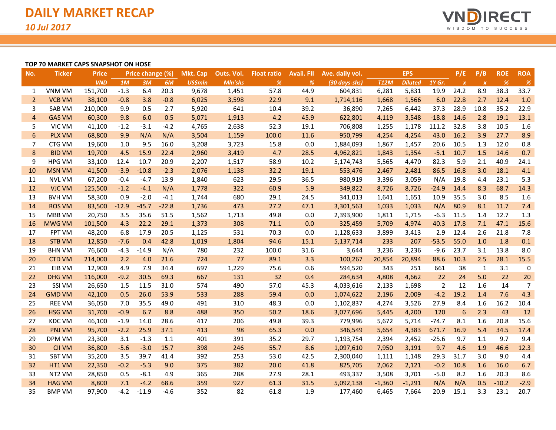

#### **TOP 70 MARKET CAPS SNAPSHOT ON HOSE**

| No.            | <b>Ticker</b> | <b>Price</b> |         | Price change (%) |         | <b>Mkt. Cap</b> | Outs. Vol. | <b>Float ratio</b> | <b>Avail. FII</b> | Ave. daily vol.         |             | <b>EPS</b>     |                | P/E              | P/B              | <b>ROE</b> | <b>ROA</b>    |
|----------------|---------------|--------------|---------|------------------|---------|-----------------|------------|--------------------|-------------------|-------------------------|-------------|----------------|----------------|------------------|------------------|------------|---------------|
|                |               | <b>VND</b>   | 1M      | 3M               | 6M      | <b>US\$mln</b>  | Mln'shs    | %                  | %                 | $(30 \text{ days-shs})$ | <b>T12M</b> | <b>Diluted</b> | 1Y Gr.         | $\boldsymbol{x}$ | $\boldsymbol{X}$ | %          | $\frac{9}{6}$ |
| 1              | <b>VNM VM</b> | 151,700      | $-1.3$  | 6.4              | 20.3    | 9,678           | 1,451      | 57.8               | 44.9              | 604,831                 | 6,281       | 5,831          | 19.9           | 24.2             | 8.9              | 38.3       | 33.7          |
| $\overline{2}$ | <b>VCB VM</b> | 38,100       | $-0.8$  | 3.8              | $-0.8$  | 6,025           | 3,598      | 22.9               | 9.1               | 1,714,116               | 1,668       | 1,566          | 6.0            | 22.8             | 2.7              | 12.4       | 1.0           |
| 3              | <b>SAB VM</b> | 210,000      | 9.9     | 0.5              | 2.7     | 5,920           | 641        | 10.4               | 39.2              | 36,890                  | 7,265       | 6,442          | 37.3           | 28.9             | 10.8             | 35.2       | 22.9          |
| $\overline{4}$ | <b>GAS VM</b> | 60,300       | 9.8     | 6.0              | 0.5     | 5,071           | 1,913      | 4.2                | 45.9              | 622,801                 | 4,119       | 3,548          | $-18.8$        | 14.6             | 2.8              | 19.1       | 13.1          |
| 5              | VIC VM        | 41,100       | $-1.2$  | $-3.1$           | $-4.2$  | 4,765           | 2,638      | 52.3               | 19.1              | 706,808                 | 1,255       | 1,178          | 111.2          | 32.8             | 3.8              | 10.5       | 1.6           |
| 6              | <b>PLX VM</b> | 68,800       | 9.9     | N/A              | N/A     | 3,504           | 1,159      | 100.0              | 11.6              | 950,799                 | 4,254       | 4,254          | 43.0           | 16.2             | 3.9              | 27.7       | 8.9           |
| 7              | CTG VM        | 19,600       | 1.0     | 9.5              | 16.0    | 3,208           | 3,723      | 15.8               | 0.0               | 1,884,093               | 1,867       | 1,457          | 20.6           | 10.5             | 1.3              | 12.0       | 0.8           |
| 8              | <b>BID VM</b> | 19,700       | 4.5     | 15.9             | 22.4    | 2,960           | 3,419      | 4.7                | 28.5              | 4,962,821               | 1,843       | 1,354          | $-5.1$         | 10.7             | 1.5              | 14.6       | 0.7           |
| 9              | <b>HPG VM</b> | 33,100       | 12.4    | 10.7             | 20.9    | 2,207           | 1,517      | 58.9               | 10.2              | 5,174,743               | 5,565       | 4,470          | 82.3           | 5.9              | 2.1              | 40.9       | 24.1          |
| 10             | <b>MSN VM</b> | 41,500       | $-3.9$  | $-10.8$          | $-2.3$  | 2,076           | 1,138      | 32.2               | 19.1              | 553,476                 | 2,467       | 2,481          | 86.5           | 16.8             | 3.0              | 18.1       | 4.1           |
| 11             | <b>NVL VM</b> | 67,200       | $-0.4$  | $-4.7$           | 13.9    | 1,840           | 623        | 29.5               | 36.5              | 980,919                 | 3,396       | 3,059          | N/A            | 19.8             | 4.4              | 23.1       | 5.3           |
| 12             | <b>VJC VM</b> | 125,500      | $-1.2$  | $-4.1$           | N/A     | 1,778           | 322        | 60.9               | 5.9               | 349,822                 | 8,726       | 8,726          | $-24.9$        | 14.4             | 8.3              | 68.7       | 14.3          |
| 13             | <b>BVH VM</b> | 58,300       | 0.9     | $-2.0$           | $-4.1$  | 1,744           | 680        | 29.1               | 24.5              | 341,013                 | 1,641       | 1,651          | 10.9           | 35.5             | 3.0              | 8.5        | 1.6           |
| 14             | <b>ROS VM</b> | 83,500       | $-12.9$ | $-45.7$          | $-22.8$ | 1,736           | 473        | 27.2               | 47.1              | 3,301,563               | 1,033       | 1,033          | N/A            | 80.9             | 8.1              | 11.7       | 7.4           |
| 15             | MBB VM        | 20,750       | 3.5     | 35.6             | 51.5    | 1,562           | 1,713      | 49.8               | 0.0               | 2,393,900               | 1,811       | 1,715          | $-6.3$         | 11.5             | 1.4              | 12.7       | 1.3           |
| 16             | <b>MWG VM</b> | 101,500      | 4.3     | 22.2             | 29.1    | 1,373           | 308        | 71.1               | 0.0               | 325,459                 | 5,709       | 4,974          | 40.3           | 17.8             | 7.1              | 47.1       | 15.6          |
| 17             | <b>FPT VM</b> | 48,200       | 6.8     | 17.9             | 20.5    | 1,125           | 531        | 70.3               | 0.0               | 1,128,633               | 3,899       | 3,413          | 2.9            | 12.4             | 2.6              | 21.8       | 7.8           |
| 18             | <b>STB VM</b> | 12,850       | $-7.6$  | 0.4              | 42.8    | 1,019           | 1,804      | 94.6               | 15.1              | 5,137,714               | 233         | 207            | $-53.5$        | 55.0             | 1.0              | 1.8        | 0.1           |
| 19             | <b>BHN VM</b> | 76,600       | $-4.3$  | $-14.9$          | N/A     | 780             | 232        | 100.0              | 31.6              | 3,644                   | 3,236       | 3,236          | $-9.6$         | 23.7             | 3.1              | 13.8       | 8.0           |
| 20             | <b>CTD VM</b> | 214,000      | 2.2     | 4.0              | 21.6    | 724             | 77         | 89.1               | 3.3               | 100,267                 | 20,854      | 20,894         | 88.6           | 10.3             | 2.5              | 28.1       | 15.5          |
| 21             | EIB VM        | 12,900       | 4.9     | 7.9              | 34.4    | 697             | 1,229      | 75.6               | 0.6               | 594,520                 | 343         | 251            | 661            | 38               | $\mathbf{1}$     | 3.1        | 0             |
| 22             | <b>DHG VM</b> | 116,000      | $-9.2$  | 30.5             | 69.3    | 667             | 131        | 32                 | 0.4               | 284,634                 | 4,808       | 4,662          | 22             | 24               | 5.0              | 22         | 20            |
| 23             | SSI VM        | 26,650       | 1.5     | 11.5             | 31.0    | 574             | 490        | 57.0               | 45.3              | 4,033,616               | 2,133       | 1,698          | $\overline{2}$ | 12               | 1.6              | 14         | 7             |
| 24             | <b>GMD VM</b> | 42,100       | 0.5     | 26.0             | 53.9    | 533             | 288        | 59.4               | 0.0               | 1,074,622               | 2,196       | 2,009          | $-4.2$         | 19.2             | 1.4              | 7.6        | 4.3           |
| 25             | <b>REE VM</b> | 36,050       | 7.0     | 35.5             | 49.0    | 491             | 310        | 48.3               | 0.0               | 1,102,837               | 4,274       | 3,526          | 27.9           | 8.4              | 1.6              | 16.2       | 10.4          |
| 26             | <b>HSG VM</b> | 31,700       | $-0.9$  | 6.7              | 8.8     | 488             | 350        | 50.2               | 18.6              | 3,077,696               | 5,445       | 4,200          | 120            | 6                | 2.3              | 43         | 12            |
| 27             | <b>KDC VM</b> | 46,100       | $-1.9$  | 14.0             | 28.6    | 417             | 206        | 49.8               | 39.3              | 779,996                 | 5,672       | 5,714          | $-74.7$        | 8.1              | 1.6              | 20.8       | 15.6          |
| 28             | <b>PNJ VM</b> | 95,700       | $-2.2$  | 25.9             | 37.1    | 413             | 98         | 65.3               | 0.0               | 346,549                 | 5,654       | 4,383          | 671.7          | 16.9             | 5.4              | 34.5       | 17.4          |
| 29             | <b>DPM VM</b> | 23,300       | 3.1     | $-1.3$           | 1.1     | 401             | 391        | 35.2               | 29.7              | 1,193,754               | 2,394       | 2,452          | $-25.6$        | 9.7              | 1.1              | 9.7        | 9.4           |
| 30             | <b>CII VM</b> | 36,800       | $-5.6$  | $-3.0$           | 15.7    | 398             | 246        | 55.7               | 8.6               | 1,097,610               | 7,950       | 3,191          | 9.7            | 4.6              | 1.9              | 46.6       | 12.3          |
| 31             | <b>SBT VM</b> | 35,200       | 3.5     | 39.7             | 41.4    | 392             | 253        | 53.0               | 42.5              | 2,300,040               | 1,111       | 1,148          | 29.3           | 31.7             | 3.0              | 9.0        | 4.4           |
| 32             | HT1 VM        | 22,350       | $-0.2$  | $-5.3$           | 9.0     | 375             | 382        | 20.0               | 41.8              | 825,705                 | 2,062       | 2,121          | $-0.2$         | 10.8             | 1.6              | 16.0       | 6.7           |
| 33             | NT2 VM        | 28,850       | 0.5     | $-8.1$           | 4.9     | 365             | 288        | 27.9               | 28.1              | 493,337                 | 3,508       | 3,701          | $-5.0$         | 8.2              | 1.6              | 20.3       | 8.6           |
| 34             | <b>HAG VM</b> | 8,800        | 7.1     | $-4.2$           | 68.6    | 359             | 927        | 61.3               | 31.5              | 5,092,138               | $-1,360$    | $-1,291$       | N/A            | N/A              | 0.5              | $-10.2$    | $-2.9$        |
| 35             | <b>BMP VM</b> | 97,900       | $-4.2$  | $-11.9$          | $-4.6$  | 352             | 82         | 61.8               | 1.9               | 177,460                 | 6,465       | 7,664          | 20.9           | 15.1             | 3.3              | 23.1       | 20.7          |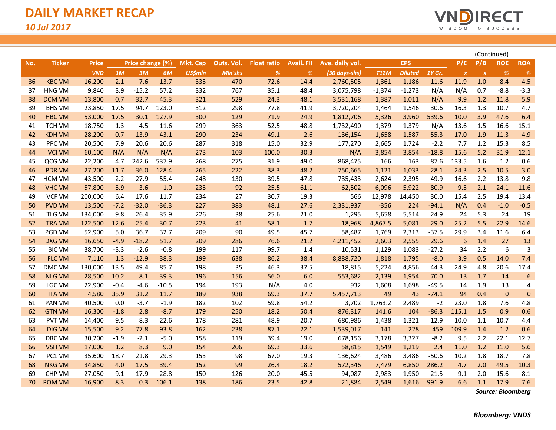

|     |               |              |        |                  |         |                 |            |                    |                   |                 |             |                |         |                  |                           | (Continued)  |                 |
|-----|---------------|--------------|--------|------------------|---------|-----------------|------------|--------------------|-------------------|-----------------|-------------|----------------|---------|------------------|---------------------------|--------------|-----------------|
| No. | <b>Ticker</b> | <b>Price</b> |        | Price change (%) |         | <b>Mkt. Cap</b> | Outs. Vol. | <b>Float ratio</b> | <b>Avail. FII</b> | Ave. daily vol. |             | <b>EPS</b>     |         | P/E              | P/B                       | <b>ROE</b>   | <b>ROA</b>      |
|     |               | <b>VND</b>   | 1M     | 3M               | 6M      | <b>US\$mln</b>  | Mln'shs    | %                  | %                 | (30 days-shs)   | <b>T12M</b> | <b>Diluted</b> | 1Y Gr.  | $\boldsymbol{X}$ | $\boldsymbol{\mathsf{x}}$ | %            | %               |
| 36  | <b>KBC VM</b> | 16,200       | $-2.1$ | 7.6              | 13.7    | 335             | 470        | 72.6               | 14.4              | 2,760,505       | 1,361       | 1,186          | $-11.6$ | 11.9             | 1.0                       | 8.4          | 4.5             |
| 37  | <b>HNG VM</b> | 9,840        | 3.9    | $-15.2$          | 57.2    | 332             | 767        | 35.1               | 48.4              | 3,075,798       | $-1,374$    | $-1,273$       | N/A     | N/A              | 0.7                       | $-8.8$       | $-3.3$          |
| 38  | <b>DCM VM</b> | 13,800       | 0.7    | 32.7             | 45.3    | 321             | 529        | 24.3               | 48.1              | 3,531,168       | 1,387       | 1,011          | N/A     | 9.9              | 1.2                       | 11.8         | 5.9             |
| 39  | <b>BHS VM</b> | 23,850       | 17.5   | 94.7             | 123.0   | 312             | 298        | 77.8               | 41.9              | 3,720,204       | 1,464       | 1,546          | 30.6    | 16.3             | 1.3                       | 10.7         | 4.7             |
| 40  | <b>HBC VM</b> | 53,000       | 17.5   | 30.1             | 127.9   | 300             | 129        | 71.9               | 24.9              | 1,812,706       | 5,326       | 3,960          | 539.6   | 10.0             | 3.9                       | 47.6         | 6.4             |
| 41  | TCH VM        | 18,750       | $-1.3$ | 4.5              | 11.6    | 299             | 363        | 52.5               | 48.8              | 1,732,490       | 1,379       | 1,379          | N/A     | 13.6             | 1.5                       | 16.6         | 15.1            |
| 42  | <b>KDH VM</b> | 28,200       | $-0.7$ | 13.9             | 43.1    | 290             | 234        | 49.1               | 2.6               | 136,154         | 1,658       | 1,587          | 55.3    | 17.0             | 1.9                       | 11.3         | 4.9             |
| 43  | PPC VM        | 20,500       | 7.9    | 20.6             | 20.6    | 287             | 318        | 15.0               | 32.9              | 177,270         | 2,665       | 1,724          | $-2.2$  | 7.7              | 1.2                       | 15.3         | 8.5             |
| 44  | <b>VCI VM</b> | 60,100       | N/A    | N/A              | N/A     | 273             | 103        | 100.0              | 30.3              | N/A             | 3,854       | 3,854          | $-18.8$ | 15.6             | 5.2                       | 31.9         | 12.1            |
| 45  | QCG VM        | 22,200       | 4.7    | 242.6            | 537.9   | 268             | 275        | 31.9               | 49.0              | 868,475         | 166         | 163            | 87.6    | 133.5            | 1.6                       | 1.2          | 0.6             |
| 46  | <b>PDR VM</b> | 27,200       | 11.7   | 36.0             | 128.4   | 265             | 222        | 38.3               | 48.2              | 750,665         | 1,121       | 1,033          | 28.1    | 24.3             | 2.5                       | 10.5         | 3.0             |
| 47  | HCM VM        | 43,500       | 2.2    | 27.9             | 55.4    | 248             | 130        | 39.5               | 47.8              | 735,433         | 2,624       | 2,395          | 49.9    | 16.6             | 2.2                       | 13.8         | 9.8             |
| 48  | <b>VHC VM</b> | 57,800       | 5.9    | 3.6              | $-1.0$  | 235             | 92         | 25.5               | 61.1              | 62,502          | 6,096       | 5,922          | 80.9    | 9.5              | 2.1                       | 24.1         | 11.6            |
| 49  | <b>VCF VM</b> | 200,000      | 6.4    | 17.6             | 11.7    | 234             | 27         | 30.7               | 19.3              | 566             | 12,978      | 14,450         | 30.0    | 15.4             | 2.5                       | 19.4         | 13.4            |
| 50  | <b>PVD VM</b> | 13,500       | $-7.2$ | $-32.0$          | $-36.3$ | 227             | 383        | 48.1               | 27.6              | 2,331,937       | $-356$      | 224            | $-94.1$ | N/A              | 0.4                       | $-1.0$       | $-0.5$          |
| 51  | TLG VM        | 134,000      | 9.8    | 26.4             | 35.9    | 226             | 38         | 25.6               | 21.0              | 1,295           | 5,658       | 5,514          | 24.9    | 24               | 5.3                       | 24           | 19              |
| 52  | <b>TRA VM</b> | 122,500      | 12.6   | 25.4             | 30.7    | 223             | 41         | 58.1               | 1.7               | 18,968          | 4,867.5     | 5,081          | 29.0    | 25.2             | 5.5                       | 22.9         | 14.6            |
| 53  | PGD VM        | 52,900       | 5.0    | 36.7             | 32.7    | 209             | 90         | 49.5               | 45.7              | 58,487          | 1,769       | 2,313          | $-37.5$ | 29.9             | 3.4                       | 11.6         | 6.4             |
| 54  | <b>DXG VM</b> | 16,650       | $-4.9$ | $-18.2$          | 51.7    | 209             | 286        | 76.6               | 21.2              | 4,211,452       | 2,603       | 2,555          | 29.6    | 6                | 1.4                       | 27           | 13              |
| 55  | <b>BIC VM</b> | 38,700       | $-3.3$ | $-2.6$           | $-0.8$  | 199             | 117        | 99.7               | 1.4               | 10,531          | 1,129       | 1,083          | $-27.2$ | 34               | 2.2                       | 6            | 3               |
| 56  | <b>FLC VM</b> | 7,110        | 1.3    | $-12.9$          | 38.3    | 199             | 638        | 86.2               | 38.4              | 8,888,720       | 1,818       | 1,795          | $-8.0$  | 3.9              | 0.5                       | 14.0         | 7.4             |
| 57  | DMC VM        | 130,000      | 13.5   | 49.4             | 85.7    | 198             | 35         | 46.3               | 37.5              | 18,815          | 5,224       | 4,856          | 44.3    | 24.9             | 4.8                       | 20.6         | 17.4            |
| 58  | <b>NLG VM</b> | 28,500       | 10.2   | 8.1              | 39.3    | 196             | 156        | 56.0               | 6.0               | 553,682         | 2,139       | 1,954          | 70.0    | 13               | 1.7                       | 14           | $6\phantom{1}6$ |
| 59  | LGC VM        | 22,900       | $-0.4$ | $-4.6$           | $-10.5$ | 194             | 193        | N/A                | 4.0               | 932             | 1,608       | 1,698          | $-49.5$ | 14               | 1.9                       | 13           | 4               |
| 60  | <b>ITA VM</b> | 4,580        | 35.9   | 31.2             | 11.7    | 189             | 938        | 69.3               | 37.7              | 5,457,713       | 49          | 43             | $-74.1$ | 94               | 0.4                       | $\mathbf{0}$ | $\mathbf 0$     |
| 61  | PAN VM        | 40,500       | 0.0    | $-3.7$           | $-1.9$  | 182             | 102        | 59.8               | 54.2              | 3,702           | 1,763.2     | 2,489          | $-2$    | 23.0             | 1.8                       | 7.6          | 4.8             |
| 62  | <b>GTN VM</b> | 16,300       | $-1.8$ | 2.8              | $-8.7$  | 179             | 250        | 18.2               | 50.4              | 876,317         | 141.6       | 104            | $-86.3$ | 115.1            | 1.5                       | 0.9          | 0.6             |
| 63  | PVT VM        | 14,400       | 9.5    | 8.3              | 22.6    | 178             | 281        | 48.9               | 20.7              | 680,986         | 1,438       | 1,321          | 12.9    | 10.0             | 1.1                       | 10.7         | 4.4             |
| 64  | <b>DIG VM</b> | 15,500       | 9.2    | 77.8             | 93.8    | 162             | 238        | 87.1               | 22.1              | 1,539,017       | 141         | 228            | 459     | 109.9            | 1.4                       | 1.2          | 0.6             |
| 65  | DRC VM        | 30,200       | $-1.9$ | $-2.1$           | $-5.0$  | 158             | 119        | 39.4               | 19.0              | 678,156         | 3,178       | 3,327          | $-8.2$  | 9.5              | 2.2                       | 22.1         | 12.7            |
| 66  | <b>VSH VM</b> | 17,000       | 1.2    | 8.3              | 9.0     | 154             | 206        | 69.3               | 33.6              | 58,815          | 1,549       | 1,219          | 2.4     | 11.0             | 1.2                       | 11.0         | 5.6             |
| 67  | PC1 VM        | 35,600       | 18.7   | 21.8             | 29.3    | 153             | 98         | 67.0               | 19.3              | 136,624         | 3,486       | 3,486          | $-50.6$ | 10.2             | 1.8                       | 18.7         | 7.8             |
| 68  | <b>NKG VM</b> | 34,850       | 4.0    | 17.5             | 39.4    | 152             | 99         | 26.4               | 18.2              | 572,346         | 7,479       | 6,850          | 286.2   | 4.7              | 2.0                       | 49.5         | 10.3            |
| 69  | <b>CHP VM</b> | 27,050       | 9.1    | 17.9             | 28.8    | 150             | 126        | 20.0               | 45.5              | 94,087          | 2,983       | 1,950          | $-21.5$ | 9.1              | 2.0                       | 15.6         | 8.1             |
| 70  | POM VM        | 16,900       | 8.3    | 0.3              | 106.1   | 138             | 186        | 23.5               | 42.8              | 21,884          | 2,549       | 1,616          | 991.9   | 6.6              | 1.1                       | 17.9         | 7.6             |

*Source: Bloomberg*